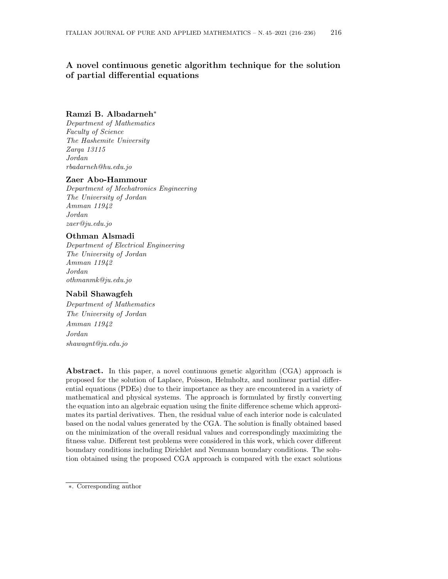# A novel continuous genetic algorithm technique for the solution of partial differential equations

# Ramzi B. Albadarneh<sup>∗</sup>

Department of Mathematics Faculty of Science The Hashemite University Zarqa 13115 Jordan rbadarneh@hu.edu.jo

### Zaer Abo-Hammour

Department of Mechatronics Engineering The University of Jordan Amman 11942 Jordan zaer@ju.edu.jo

# Othman Alsmadi

Department of Electrical Engineering The University of Jordan Amman 11942 Jordan othmanmk@ju.edu.jo

# Nabil Shawagfeh

Department of Mathematics The University of Jordan Amman 11942 Jordan shawagnt@ju.edu.jo

Abstract. In this paper, a novel continuous genetic algorithm (CGA) approach is proposed for the solution of Laplace, Poisson, Helmholtz, and nonlinear partial differential equations (PDEs) due to their importance as they are encountered in a variety of mathematical and physical systems. The approach is formulated by firstly converting the equation into an algebraic equation using the finite difference scheme which approximates its partial derivatives. Then, the residual value of each interior node is calculated based on the nodal values generated by the CGA. The solution is finally obtained based on the minimization of the overall residual values and correspondingly maximizing the fitness value. Different test problems were considered in this work, which cover different boundary conditions including Dirichlet and Neumann boundary conditions. The solution obtained using the proposed CGA approach is compared with the exact solutions

<sup>∗</sup>. Corresponding author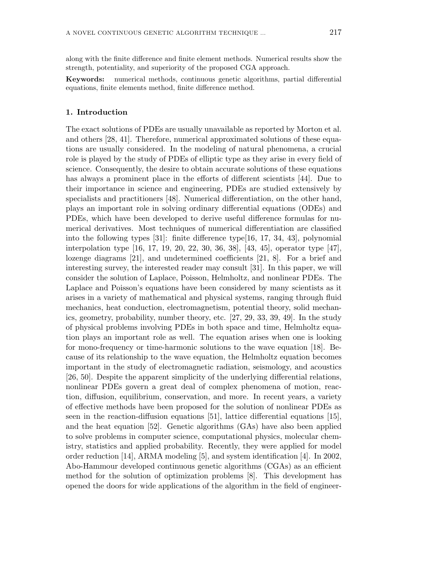along with the finite difference and finite element methods. Numerical results show the strength, potentiality, and superiority of the proposed CGA approach.

Keywords: numerical methods, continuous genetic algorithms, partial differential equations, finite elements method, finite difference method.

### 1. Introduction

The exact solutions of PDEs are usually unavailable as reported by Morton et al. and others [28, 41]. Therefore, numerical approximated solutions of these equations are usually considered. In the modeling of natural phenomena, a crucial role is played by the study of PDEs of elliptic type as they arise in every field of science. Consequently, the desire to obtain accurate solutions of these equations has always a prominent place in the efforts of different scientists [44]. Due to their importance in science and engineering, PDEs are studied extensively by specialists and practitioners [48]. Numerical differentiation, on the other hand, plays an important role in solving ordinary differential equations (ODEs) and PDEs, which have been developed to derive useful difference formulas for numerical derivatives. Most techniques of numerical differentiation are classified into the following types [31]: finite difference type[16, 17, 34, 43], polynomial interpolation type [16, 17, 19, 20, 22, 30, 36, 38], [43, 45], operator type [47], lozenge diagrams [21], and undetermined coefficients [21, 8]. For a brief and interesting survey, the interested reader may consult [31]. In this paper, we will consider the solution of Laplace, Poisson, Helmholtz, and nonlinear PDEs. The Laplace and Poisson's equations have been considered by many scientists as it arises in a variety of mathematical and physical systems, ranging through fluid mechanics, heat conduction, electromagnetism, potential theory, solid mechanics, geometry, probability, number theory, etc. [27, 29, 33, 39, 49]. In the study of physical problems involving PDEs in both space and time, Helmholtz equation plays an important role as well. The equation arises when one is looking for mono-frequency or time-harmonic solutions to the wave equation [18]. Because of its relationship to the wave equation, the Helmholtz equation becomes important in the study of electromagnetic radiation, seismology, and acoustics [26, 50]. Despite the apparent simplicity of the underlying differential relations, nonlinear PDEs govern a great deal of complex phenomena of motion, reaction, diffusion, equilibrium, conservation, and more. In recent years, a variety of effective methods have been proposed for the solution of nonlinear PDEs as seen in the reaction-diffusion equations [51], lattice differential equations [15], and the heat equation [52]. Genetic algorithms (GAs) have also been applied to solve problems in computer science, computational physics, molecular chemistry, statistics and applied probability. Recently, they were applied for model order reduction [14], ARMA modeling [5], and system identification [4]. In 2002, Abo-Hammour developed continuous genetic algorithms (CGAs) as an efficient method for the solution of optimization problems [8]. This development has opened the doors for wide applications of the algorithm in the field of engineer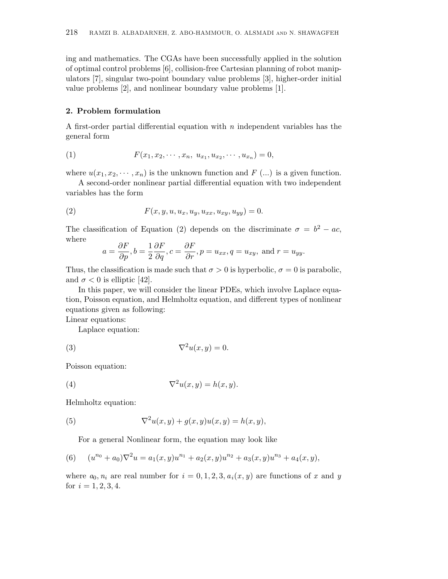ing and mathematics. The CGAs have been successfully applied in the solution of optimal control problems [6], collision-free Cartesian planning of robot manipulators [7], singular two-point boundary value problems [3], higher-order initial value problems [2], and nonlinear boundary value problems [1].

# 2. Problem formulation

A first-order partial differential equation with  $n$  independent variables has the general form

(1) 
$$
F(x_1, x_2, \cdots, x_n, u_{x_1}, u_{x_2}, \cdots, u_{x_n}) = 0,
$$

where  $u(x_1, x_2, \dots, x_n)$  is the unknown function and F (...) is a given function.

A second-order nonlinear partial differential equation with two independent variables has the form

(2) 
$$
F(x, y, u, u_x, u_y, u_{xx}, u_{xy}, u_{yy}) = 0.
$$

The classification of Equation (2) depends on the discriminate  $\sigma = b^2 - ac$ , where

$$
a = \frac{\partial F}{\partial p}, b = \frac{1}{2} \frac{\partial F}{\partial q}, c = \frac{\partial F}{\partial r}, p = u_{xx}, q = u_{xy}, \text{ and } r = u_{yy}.
$$

Thus, the classification is made such that  $\sigma > 0$  is hyperbolic,  $\sigma = 0$  is parabolic, and  $\sigma < 0$  is elliptic [42].

In this paper, we will consider the linear PDEs, which involve Laplace equation, Poisson equation, and Helmholtz equation, and different types of nonlinear equations given as following:

Linear equations:

Laplace equation:

$$
(3) \t\t \nabla^2 u(x, y) = 0.
$$

Poisson equation:

(4) 
$$
\nabla^2 u(x, y) = h(x, y).
$$

Helmholtz equation:

(5) 
$$
\nabla^2 u(x, y) + g(x, y)u(x, y) = h(x, y),
$$

For a general Nonlinear form, the equation may look like

(6) 
$$
(u^{n_0} + a_0)\nabla^2 u = a_1(x, y)u^{n_1} + a_2(x, y)u^{n_2} + a_3(x, y)u^{n_3} + a_4(x, y),
$$

where  $a_0, n_i$  are real number for  $i = 0, 1, 2, 3, a_i(x, y)$  are functions of x and y for  $i = 1, 2, 3, 4$ .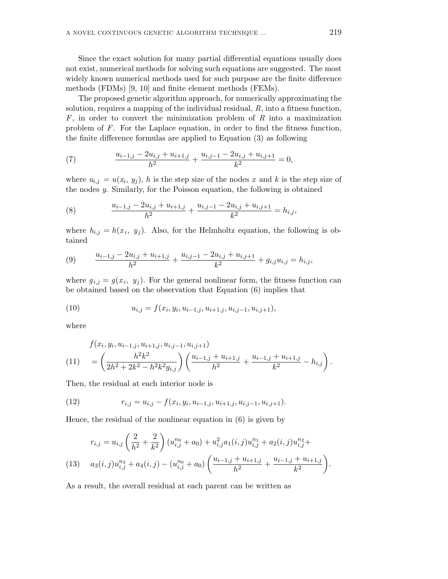Since the exact solution for many partial differential equations usually does not exist, numerical methods for solving such equations are suggested. The most widely known numerical methods used for such purpose are the finite difference methods (FDMs) [9, 10] and finite element methods (FEMs).

The proposed genetic algorithm approach, for numerically approximating the solution, requires a mapping of the individual residual,  $R$ , into a fitness function,  $F$ , in order to convert the minimization problem of  $R$  into a maximization problem of F. For the Laplace equation, in order to find the fitness function, the finite difference formulas are applied to Equation (3) as following

(7) 
$$
\frac{u_{i-1,j} - 2u_{i,j} + u_{i+1,j}}{h^2} + \frac{u_{i,j-1} - 2u_{i,j} + u_{i,j+1}}{k^2} = 0,
$$

where  $u_{i,j} = u(x_i, y_j)$ , h is the step size of the nodes x and k is the step size of the nodes y. Similarly, for the Poisson equation, the following is obtained

(8) 
$$
\frac{u_{i-1,j} - 2u_{i,j} + u_{i+1,j}}{h^2} + \frac{u_{i,j-1} - 2u_{i,j} + u_{i,j+1}}{k^2} = h_{i,j},
$$

where  $h_{i,j} = h(x_i, y_j)$ . Also, for the Helmholtz equation, the following is obtained

(9) 
$$
\frac{u_{i-1,j} - 2u_{i,j} + u_{i+1,j}}{h^2} + \frac{u_{i,j-1} - 2u_{i,j} + u_{i,j+1}}{k^2} + g_{i,j}u_{i,j} = h_{i,j},
$$

where  $g_{i,j} = g(x_i, y_j)$ . For the general nonlinear form, the fitness function can be obtained based on the observation that Equation (6) implies that

(10) 
$$
u_{i,j} = f(x_i, y_i, u_{i-1,j}, u_{i+1,j}, u_{i,j-1}, u_{i,j+1}),
$$

where

$$
f(x_i, y_i, u_{i-1,j}, u_{i+1,j}, u_{i,j-1}, u_{i,j+1})
$$
  
(11) 
$$
= \left(\frac{h^2 k^2}{2h^2 + 2k^2 - h^2 k^2 g_{i,j}}\right) \left(\frac{u_{i-1,j} + u_{i+1,j}}{h^2} + \frac{u_{i-1,j} + u_{i+1,j}}{k^2} - h_{i,j}\right).
$$

Then, the residual at each interior node is

(12) 
$$
r_{i,j} = u_{i,j} - f(x_i, y_i, u_{i-1,j}, u_{i+1,j}, u_{i,j-1}, u_{i,j+1}).
$$

Hence, the residual of the nonlinear equation in (6) is given by

$$
r_{i,j} = u_{i,j} \left(\frac{2}{h^2} + \frac{2}{k^2}\right) (u_{i,j}^{n_0} + a_0) + u_{i,j}^2 a_1(i,j) u_{i,j}^{n_1} + a_2(i,j) u_{i,j}^{n_2} +
$$
  
(13) 
$$
a_3(i,j) u_{i,j}^{n_3} + a_4(i,j) - (u_{i,j}^{n_0} + a_0) \left(\frac{u_{i-1,j} + u_{i+1,j}}{h^2} + \frac{u_{i-1,j} + u_{i+1,j}}{k^2}\right).
$$

As a result, the overall residual at each parent can be written as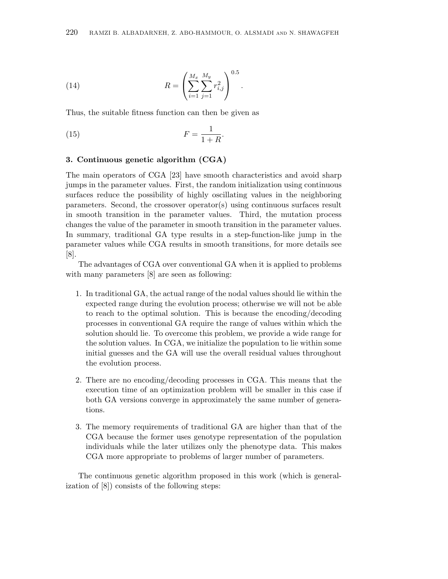(14) 
$$
R = \left(\sum_{i=1}^{M_x} \sum_{j=1}^{M_y} r_{i,j}^2\right)^{0.5}.
$$

Thus, the suitable fitness function can then be given as

$$
(15) \t\t\t F = \frac{1}{1+R}.
$$

#### 3. Continuous genetic algorithm (CGA)

The main operators of CGA [23] have smooth characteristics and avoid sharp jumps in the parameter values. First, the random initialization using continuous surfaces reduce the possibility of highly oscillating values in the neighboring parameters. Second, the crossover operator(s) using continuous surfaces result in smooth transition in the parameter values. Third, the mutation process changes the value of the parameter in smooth transition in the parameter values. In summary, traditional GA type results in a step-function-like jump in the parameter values while CGA results in smooth transitions, for more details see [8].

The advantages of CGA over conventional GA when it is applied to problems with many parameters [8] are seen as following:

- 1. In traditional GA, the actual range of the nodal values should lie within the expected range during the evolution process; otherwise we will not be able to reach to the optimal solution. This is because the encoding/decoding processes in conventional GA require the range of values within which the solution should lie. To overcome this problem, we provide a wide range for the solution values. In CGA, we initialize the population to lie within some initial guesses and the GA will use the overall residual values throughout the evolution process.
- 2. There are no encoding/decoding processes in CGA. This means that the execution time of an optimization problem will be smaller in this case if both GA versions converge in approximately the same number of generations.
- 3. The memory requirements of traditional GA are higher than that of the CGA because the former uses genotype representation of the population individuals while the later utilizes only the phenotype data. This makes CGA more appropriate to problems of larger number of parameters.

The continuous genetic algorithm proposed in this work (which is generalization of [8]) consists of the following steps: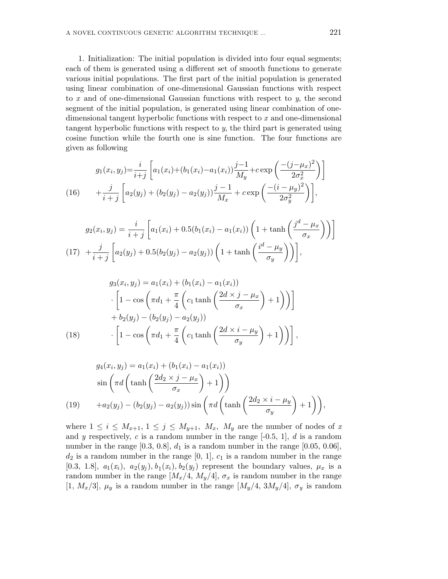1. Initialization: The initial population is divided into four equal segments; each of them is generated using a different set of smooth functions to generate various initial populations. The first part of the initial population is generated using linear combination of one-dimensional Gaussian functions with respect to x and of one-dimensional Gaussian functions with respect to y, the second segment of the initial population, is generated using linear combination of onedimensional tangent hyperbolic functions with respect to x and one-dimensional tangent hyperbolic functions with respect to y, the third part is generated using cosine function while the fourth one is sine function. The four functions are given as following

(16) 
$$
g_1(x_i, y_j) = \frac{i}{i+j} \left[ a_1(x_i) + (b_1(x_i) - a_1(x_i)) \frac{j-1}{M_y} + c \exp\left(\frac{-(j-\mu_x)^2}{2\sigma_x^2}\right) \right] + \frac{j}{i+j} \left[ a_2(y_j) + (b_2(y_j) - a_2(y_j)) \frac{j-1}{M_x} + c \exp\left(\frac{-(i-\mu_y)^2}{2\sigma_y^2}\right) \right],
$$

$$
g_2(x_i, y_j) = \frac{i}{i+j} \left[ a_1(x_i) + 0.5(b_1(x_i) - a_1(x_i)) \left( 1 + \tanh\left(\frac{j^d - \mu_x}{\sigma_x}\right) \right) \right]
$$
  
(17) 
$$
+ \frac{j}{i+j} \left[ a_2(y_j) + 0.5(b_2(y_j) - a_2(y_j)) \left( 1 + \tanh\left(\frac{i^d - \mu_y}{\sigma_y}\right) \right) \right],
$$

(18) 
$$
g_3(x_i, y_j) = a_1(x_i) + (b_1(x_i) - a_1(x_i))
$$

$$
\cdot \left[ 1 - \cos \left( \pi d_1 + \frac{\pi}{4} \left( c_1 \tanh \left( \frac{2d \times j - \mu_x}{\sigma_x} \right) + 1 \right) \right) \right]
$$

$$
+ b_2(y_j) - (b_2(y_j) - a_2(y_j))
$$

$$
\cdot \left[ 1 - \cos \left( \pi d_1 + \frac{\pi}{4} \left( c_1 \tanh \left( \frac{2d \times i - \mu_y}{\sigma_y} \right) + 1 \right) \right) \right],
$$

$$
g_4(x_i, y_j) = a_1(x_i) + (b_1(x_i) - a_1(x_i))
$$
  
\n
$$
\sin\left(\pi d\left(\tanh\left(\frac{2d_2 \times j - \mu_x}{\sigma_x}\right) + 1\right)\right)
$$
  
\n
$$
+ a_2(y_j) - (b_2(y_j) - a_2(y_j))\sin\left(\pi d\left(\tanh\left(\frac{2d_2 \times i - \mu_y}{\sigma_y}\right) + 1\right)\right),
$$

where  $1 \leq i \leq M_{x+1}, 1 \leq j \leq M_{y+1}, M_x, M_y$  are the number of nodes of x and y respectively, c is a random number in the range  $[-0.5, 1]$ , d is a random number in the range  $[0.3, 0.8], d_1$  is a random number in the range  $[0.05, 0.06],$  $d_2$  is a random number in the range  $[0, 1], c_1$  is a random number in the range [0.3, 1.8],  $a_1(x_i)$ ,  $a_2(y_j)$ ,  $b_1(x_i)$ ,  $b_2(y_j)$  represent the boundary values,  $\mu_x$  is a random number in the range  $[M_x/4, M_y/4], \sigma_x$  is random number in the range [1,  $M_x/3$ ],  $\mu_y$  is a random number in the range [ $M_y/4$ ,  $3M_y/4$ ],  $\sigma_y$  is random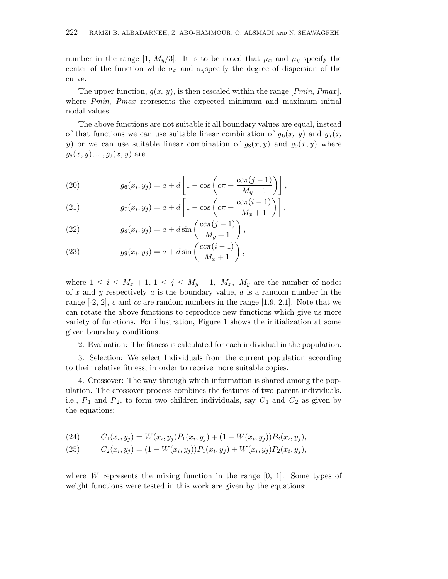number in the range [1,  $M_y/3$ ]. It is to be noted that  $\mu_x$  and  $\mu_y$  specify the center of the function while  $\sigma_x$  and  $\sigma_y$ specify the degree of dispersion of the curve.

The upper function,  $q(x, y)$ , is then rescaled within the range [*Pmin, Pmax*], where *Pmin*, *Pmax* represents the expected minimum and maximum initial nodal values.

The above functions are not suitable if all boundary values are equal, instead of that functions we can use suitable linear combination of  $g_6(x, y)$  and  $g_7(x, y)$ y) or we can use suitable linear combination of  $g_8(x, y)$  and  $g_9(x, y)$  where  $g_6(x, y), ..., g_9(x, y)$  are

(20) 
$$
g_6(x_i, y_j) = a + d \left[ 1 - \cos \left( c \pi + \frac{c c \pi (j-1)}{M_y + 1} \right) \right],
$$

(21) 
$$
g_7(x_i, y_j) = a + d \left[ 1 - \cos \left( c \pi + \frac{c c \pi (i-1)}{M_x + 1} \right) \right],
$$

(22) 
$$
g_8(x_i, y_j) = a + d \sin \left( \frac{c c \pi (j-1)}{M_y+1} \right),
$$

(23) 
$$
g_9(x_i, y_j) = a + d \sin \left( \frac{c c \pi (i-1)}{M_x + 1} \right),
$$

where  $1 \leq i \leq M_x + 1, 1 \leq j \leq M_y + 1, M_x, M_y$  are the number of nodes of x and y respectively a is the boundary value,  $d$  is a random number in the range  $[-2, 2]$ , c and cc are random numbers in the range  $[1.9, 2.1]$ . Note that we can rotate the above functions to reproduce new functions which give us more variety of functions. For illustration, Figure 1 shows the initialization at some given boundary conditions.

2. Evaluation: The fitness is calculated for each individual in the population.

3. Selection: We select Individuals from the current population according to their relative fitness, in order to receive more suitable copies.

4. Crossover: The way through which information is shared among the population. The crossover process combines the features of two parent individuals, i.e.,  $P_1$  and  $P_2$ , to form two children individuals, say  $C_1$  and  $C_2$  as given by the equations:

(24) 
$$
C_1(x_i, y_j) = W(x_i, y_j)P_1(x_i, y_j) + (1 - W(x_i, y_j))P_2(x_i, y_j),
$$

(25) 
$$
C_2(x_i, y_j) = (1 - W(x_i, y_j))P_1(x_i, y_j) + W(x_i, y_j)P_2(x_i, y_j),
$$

where W represents the mixing function in the range  $[0, 1]$ . Some types of weight functions were tested in this work are given by the equations: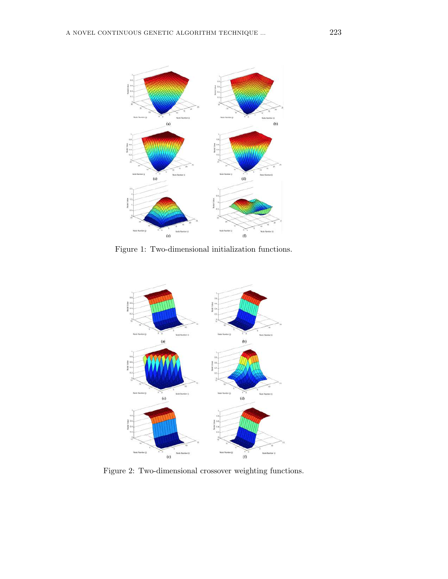

Figure 1: Two-dimensional initialization functions.



Figure 2: Two-dimensional crossover weighting functions.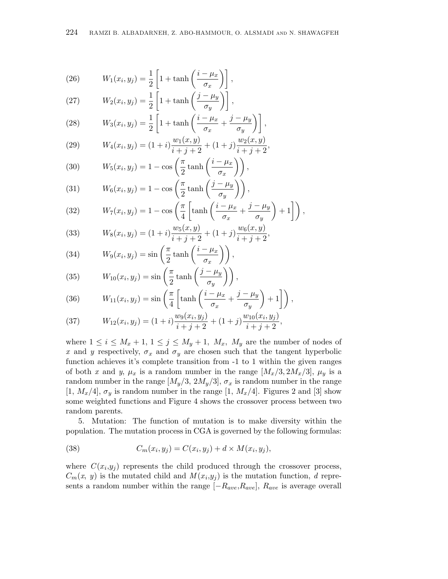(26) 
$$
W_1(x_i, y_j) = \frac{1}{2} \left[ 1 + \tanh\left(\frac{i - \mu_x}{\sigma_x}\right) \right],
$$
  
(27) 
$$
W_2(x_i, y_j) = \frac{1}{2} \left[ 1 + \tanh\left(\frac{j - \mu_y}{\sigma_y}\right) \right],
$$

(27) 
$$
W_2(x_i, y_j) = \frac{1}{2} \left[ 1 + \tanh\left(\frac{j - \mu_y}{\sigma_y}\right) \right],
$$
  
(28) 
$$
W(x_i, y_j) = \frac{1}{2} \left[ 1 + \tanh\left(\frac{i - \mu_x}{\sigma_y}\right) \right].
$$

(28) 
$$
W_3(x_i, y_j) = \frac{1}{2} \left[ 1 + \tanh\left(\frac{i - \mu_x}{\sigma_x} + \frac{j - \mu_y}{\sigma_y}\right) \right],
$$

(29) 
$$
W_4(x_i, y_j) = (1+i)\frac{w_1(x, y)}{i+j+2} + (1+j)\frac{w_2(x, y)}{i+j+2},
$$

(30) 
$$
W_5(x_i, y_j) = 1 - \cos\left(\frac{\pi}{2}\tanh\left(\frac{i - \mu_x}{\sigma_x}\right)\right),
$$

(31) 
$$
W_6(x_i, y_j) = 1 - \cos\left(\frac{\pi}{2}\tanh\left(\frac{j - \mu_y}{\sigma_y}\right)\right),
$$

(32) 
$$
W_7(x_i, y_j) = 1 - \cos\left(\frac{\pi}{4} \left[ \tanh\left(\frac{i - \mu_x}{\sigma_x} + \frac{j - \mu_y}{\sigma_y}\right) + 1\right] \right),
$$

(33) 
$$
W_8(x_i, y_j) = (1+i)\frac{w_5(x, y)}{i+j+2} + (1+j)\frac{w_6(x, y)}{i+j+2},
$$

(34) 
$$
W_9(x_i, y_j) = \sin\left(\frac{\pi}{2}\tanh\left(\frac{i-\mu_x}{\sigma_x}\right)\right),\,
$$

(35) 
$$
W_{10}(x_i, y_j) = \sin\left(\frac{\pi}{2}\tanh\left(\frac{j-\mu_y}{\sigma_y}\right)\right),
$$

(36) 
$$
W_{11}(x_i, y_j) = \sin\left(\frac{\pi}{4}\left[\tanh\left(\frac{i-\mu_x}{\sigma_x} + \frac{j-\mu_y}{\sigma_y}\right) + 1\right]\right),
$$

(37) 
$$
W_{12}(x_i, y_j) = (1+i)\frac{w_9(x_i, y_j)}{i+j+2} + (1+j)\frac{w_{10}(x_i, y_j)}{i+j+2},
$$

where  $1 \leq i \leq M_x + 1, 1 \leq j \leq M_y + 1, M_x, M_y$  are the number of nodes of x and y respectively,  $\sigma_x$  and  $\sigma_y$  are chosen such that the tangent hyperbolic function achieves it's complete transition from -1 to 1 within the given ranges of both x and y,  $\mu_x$  is a random number in the range  $[M_x/3, 2M_x/3], \mu_y$  is a random number in the range  $[M_y/3, 2M_y/3], \sigma_x$  is random number in the range [1,  $M_x/4$ ],  $\sigma_y$  is random number in the range [1,  $M_x/4$ ]. Figures 2 and [3] show some weighted functions and Figure 4 shows the crossover process between two random parents.

5. Mutation: The function of mutation is to make diversity within the population. The mutation process in CGA is governed by the following formulas:

(38) 
$$
C_m(x_i, y_j) = C(x_i, y_j) + d \times M(x_i, y_j),
$$

where  $C(x_i, y_j)$  represents the child produced through the crossover process,  $C_m(x, y)$  is the mutated child and  $M(x_i, y_j)$  is the mutation function, d represents a random number within the range  $[-R_{ave},R_{ave}]$ ,  $R_{ave}$  is average overall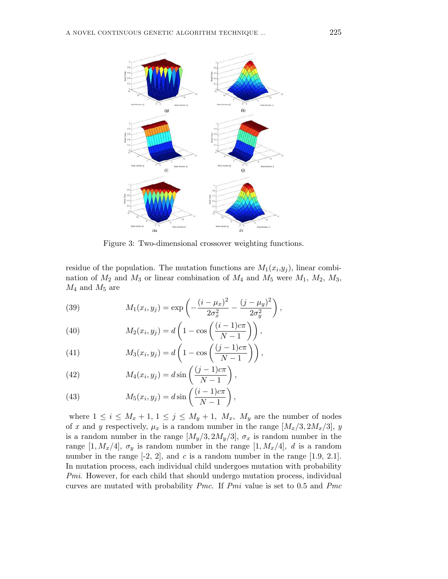

Figure 3: Two-dimensional crossover weighting functions.

residue of the population. The mutation functions are  $M_1(x_i, y_j)$ , linear combination of  $M_2$  and  $M_3$  or linear combination of  $M_4$  and  $M_5$  were  $M_1$ ,  $M_2$ ,  $M_3$ ,  $M_4$  and  $M_5$  are

(39) 
$$
M_1(x_i, y_j) = \exp\left(-\frac{(i - \mu_x)^2}{2\sigma_x^2} - \frac{(j - \mu_y)^2}{2\sigma_y^2}\right),
$$

(40) 
$$
M_2(x_i, y_j) = d\left(1 - \cos\left(\frac{(i-1)c\pi}{N-1}\right)\right),
$$

(41) 
$$
M_3(x_i, y_j) = d\left(1 - \cos\left(\frac{(j-1)c\pi}{N-1}\right)\right),
$$

(42) 
$$
M_4(x_i, y_j) = d \sin \left( \frac{(j-1)c\pi}{N-1} \right),
$$

(43) 
$$
M_5(x_i, y_j) = d \sin \left( \frac{(i-1)c\pi}{N-1} \right),
$$

where  $1 \leq i \leq M_x + 1, 1 \leq j \leq M_y + 1, M_x, M_y$  are the number of nodes of x and y respectively,  $\mu_x$  is a random number in the range  $[M_x/3, 2M_x/3], y$ is a random number in the range  $[M_y/3, 2M_y/3], \sigma_x$  is random number in the range [1,  $M_x/4$ ],  $\sigma_y$  is random number in the range [1,  $M_x/4$ ], d is a random number in the range  $[-2, 2]$ , and c is a random number in the range  $[1.9, 2.1]$ . In mutation process, each individual child undergoes mutation with probability Pmi. However, for each child that should undergo mutation process, individual curves are mutated with probability *Pmc*. If *Pmi* value is set to 0.5 and *Pmc*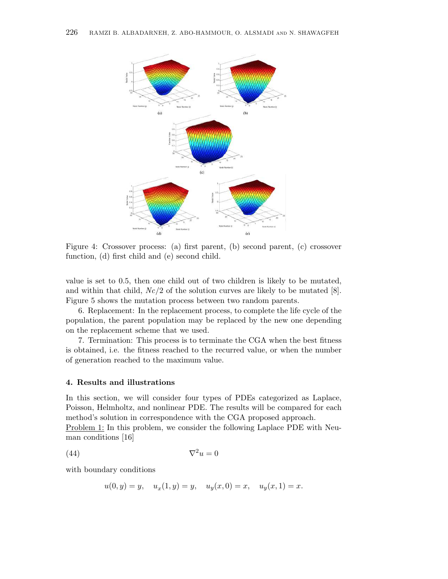

Figure 4: Crossover process: (a) first parent, (b) second parent, (c) crossover function, (d) first child and (e) second child.

value is set to 0.5, then one child out of two children is likely to be mutated, and within that child,  $Nc/2$  of the solution curves are likely to be mutated [8]. Figure 5 shows the mutation process between two random parents.

6. Replacement: In the replacement process, to complete the life cycle of the population, the parent population may be replaced by the new one depending on the replacement scheme that we used.

7. Termination: This process is to terminate the CGA when the best fitness is obtained, i.e. the fitness reached to the recurred value, or when the number of generation reached to the maximum value.

### 4. Results and illustrations

In this section, we will consider four types of PDEs categorized as Laplace, Poisson, Helmholtz, and nonlinear PDE. The results will be compared for each method's solution in correspondence with the CGA proposed approach.

Problem 1: In this problem, we consider the following Laplace PDE with Neuman conditions [16]

$$
\nabla^2 u = 0
$$

with boundary conditions

$$
u(0, y) = y
$$
,  $u_x(1, y) = y$ ,  $u_y(x, 0) = x$ ,  $u_y(x, 1) = x$ .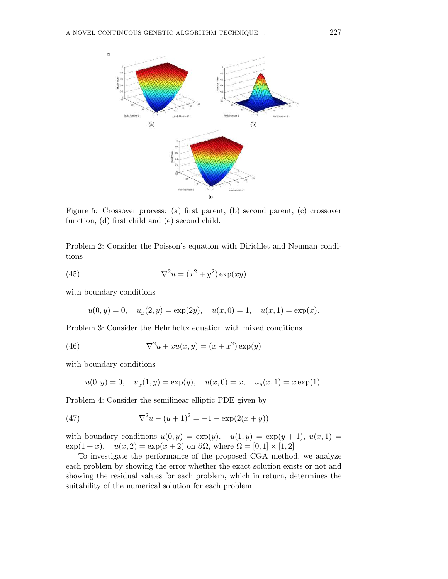

Figure 5: Crossover process: (a) first parent, (b) second parent, (c) crossover function, (d) first child and (e) second child.

Problem 2: Consider the Poisson's equation with Dirichlet and Neuman conditions

(45) 
$$
\nabla^2 u = (x^2 + y^2) \exp(xy)
$$

with boundary conditions

$$
u(0, y) = 0
$$
,  $u_x(2, y) = \exp(2y)$ ,  $u(x, 0) = 1$ ,  $u(x, 1) = \exp(x)$ .

Problem 3: Consider the Helmholtz equation with mixed conditions

(46) 
$$
\nabla^2 u + xu(x, y) = (x + x^2) \exp(y)
$$

with boundary conditions

$$
u(0, y) = 0
$$
,  $u_x(1, y) = \exp(y)$ ,  $u(x, 0) = x$ ,  $u_y(x, 1) = x \exp(1)$ .

Problem 4: Consider the semilinear elliptic PDE given by

(47) 
$$
\nabla^2 u - (u+1)^2 = -1 - \exp(2(x+y))
$$

with boundary conditions  $u(0, y) = \exp(y)$ ,  $u(1, y) = \exp(y + 1)$ ,  $u(x, 1) =$  $\exp(1+x)$ ,  $u(x, 2) = \exp(x+2)$  on  $\partial\Omega$ , where  $\Omega = [0, 1] \times [1, 2]$ 

To investigate the performance of the proposed CGA method, we analyze each problem by showing the error whether the exact solution exists or not and showing the residual values for each problem, which in return, determines the suitability of the numerical solution for each problem.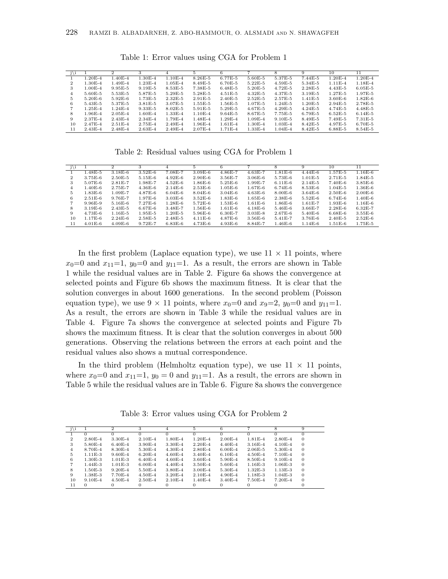| j∖i |             | $\mathbf{2}$ |             |             | 5           | 6           |             |             | 9           | 10          | 11          |
|-----|-------------|--------------|-------------|-------------|-------------|-------------|-------------|-------------|-------------|-------------|-------------|
|     | $1.20E-4$   | $1.40E - 4$  | $1.30E-4$   | $1.10E-4$   | $8.26E - 5$ | $6.77E - 5$ | $5.60E - 5$ | 5.37E-5     | $7.44E - 5$ | $1.20E-4$   | $1.20E-4$   |
| 2   | $1.30E - 4$ | $1.49E-4$    | $1.23E-4$   | $1.05E - 4$ | $8.49E - 5$ | $6.70E - 5$ | $5.22E - 5$ | $4.59E - 5$ | $5.34E - 5$ | $1.11E-4$   | $1.18E-4$   |
| 3   | $1.00E - 4$ | $9.95E - 5$  | $9.19E-5$   | $8.53E - 5$ | 7.38E-5     | $6.48E - 5$ | $5.20E - 5$ | $4.72E - 5$ | $2.28E - 5$ | $4.43E - 5$ | $6.05E - 5$ |
| 4   | $5.60E - 5$ | $5.53E-5$    | 5.87E-5     | $5.29E - 5$ | $5.28E - 5$ | $4.51E - 5$ | $4.32E - 5$ | 4.37E-5     | $3.19E-5$   | $1.27E - 5$ | $1.97E-5$   |
| 5.  | $5.20E-6$   | $5.92E-6$    | $1.73E-5$   | $2.32E - 5$ | $2.91E-5$   | $2.40E - 5$ | $2.52E - 5$ | 2.57E-5     | $1.41E-5$   | $3.60E-6$   | $1.82E-6$   |
| 6   | $5.43E-5$   | 5.37E-5      | $3.81E - 5$ | $3.07E - 5$ | $1.55E-5$   | $1.56E-5$   | $1.07E - 5$ | $1.24E-5$   | $1.20E-5$   | $2.94E-5$   | 2.78E-5     |
|     | $1.25E-4$   | $1.24E - 4$  | $9.33E - 5$ | $8.02E - 5$ | $5.91E - 5$ | $5.29E - 5$ | $4.67E - 5$ | $4.29E-5$   | $4.24E - 5$ | $4.74E-5$   | $4.48E - 5$ |
| 8   | $1.96E - 4$ | $2.05E - 4$  | $1.60E - 4$ | $1.33E - 4$ | $1.10E-4$   | $9.64E - 5$ | $8.67E - 5$ | 7.75E-5     | $6.79E - 5$ | $6.52E - 5$ | $6.14E-5$   |
| 9   | 2.37E-4     | $2.43E - 4$  | $2.34E - 4$ | $1.79E - 4$ | $1.48E - 4$ | $1.29E - 4$ | $1.09E - 4$ | $9.10E-5$   | 8.49E-5     | 7.49E-5     | $7.31E-5$   |
| 10  | $2.47E - 4$ | $2.51E-4$    | $2.75E-4$   | $2.49E - 4$ | $1.96E - 4$ | $1.61E-4$   | $1.30E - 4$ | $1.03E - 4$ | $8.42E - 5$ | 4.97E-5     | $6.70E - 5$ |
| 11  | $2.43E - 4$ | $2.48E - 4$  | $2.63E - 4$ | $2.49E - 4$ | 2.07E-4     | $1.71E-4$   | $1.33E-4$   | $1.04E - 4$ | $8.42E - 5$ | $6.88E - 5$ | $8.54E - 5$ |

Table 1: Error values using CGA for Problem 1

Table 2: Residual values using CGA for Problem 1

| j\i |             | 2           |             | 4           | 5           | 6           |             | 8           | 9           | 10          | 11          |
|-----|-------------|-------------|-------------|-------------|-------------|-------------|-------------|-------------|-------------|-------------|-------------|
|     | $1.48E - 5$ | $3.18E-6$   | $3.52E-6$   | 7.08E-7     | $3.09E - 6$ | $4.86E - 7$ | $4.63E - 7$ | $1.81E-6$   | $4.44E-6$   | 1.57E-5     | $1.16E-6$   |
| 2   | $3.75E-6$   | $2.50E - 5$ | $5.15E-6$   | $4.92E-6$   | $2.90E-6$   | $3.56E - 7$ | $3.06E - 6$ | 5.73E-6     | $1.01E-5$   | $2.71E-5$   | $1.84E-5$   |
| 3   | $5.07E-6$   | $2.81E - 7$ | $1.98E-7$   | $4.52E-6$   | $1.86E-6$   | $5.25E-6$   | $1.99E - 7$ | $6.11E-6$   | $2.14E-5$   | $7.40E-6$   | $3.85E-6$   |
| 4   | $1.40E-6$   | $2.75E - 7$ | $4.36E-6$   | $2.14E-6$   | $2.53E-6$   | $1.05E-6$   | $1.67E-6$   | $6.74E-6$   | $8.53E-6$   | $1.04E - 5$ | $1.36E-6$   |
| 5.  | $1.83E-6$   | $1.09E - 7$ | $4.87E-6$   | $6.04E-6$   | $8.04E - 6$ | $3.04E - 6$ | $4.63E-6$   | $8.00E - 6$ | $3.64E-6$   | $2.50E-6$   | $2.00E-6$   |
| 6.  | $2.51E-6$   | $9.76E - 7$ | $1.97E-6$   | $3.03E - 6$ | $3.52E-6$   | $1.83E-6$   | $1.65E-6$   | $2.38E-6$   | $5.52E-6$   | $6.74E-6$   | $1.40E-6$   |
|     | $9.96E-9$   | $5.16E-6$   | $7.27E-6$   | $1.28E-6$   | $5.72E-6$   | $1.53E-6$   | $1.61E-6$   | $1.86E-6$   | $1.61E - 7$ | $1.93E-6$   | $1.16E-6$   |
| 8   | $3.19E-6$   | $2.43E - 5$ | $6.67E-6$   | $3.48E - 7$ | 1.56E-6     | $1.61E-6$   | $4.18E-6$   | $5.46E - 6$ | $3.66E - 7$ | $2.28E - 6$ | $6.32E - 7$ |
| 9   | $4.73E-6$   | $1.16E-5$   | $1.95E-5$   | $1.20E - 5$ | $5.96E-6$   | $6.30E - 7$ | $3.03E - 8$ | $2.67E - 6$ | $5.40E - 6$ | $6.68E - 6$ | $3.55E-6$   |
| 10  | $1.17E-6$   | $2.24E-6$   | $2.58E - 5$ | $2.48E - 5$ | $4.11E-6$   | $4.87E - 6$ | $3.56E - 6$ | $5.41E - 7$ | $3.76E - 6$ | $2.40E - 5$ | $2.52E-6$   |
| 11  | $4.01E-6$   | $4.09E-6$   | $9.72E - 7$ | $6.83E-6$   | $4.73E-6$   | $4.93E-6$   | $8.84E - 7$ | $1.46E-6$   | $1.14E-6$   | $1.51E-6$   | $1.75E-5$   |

In the first problem (Laplace equation type), we use  $11 \times 11$  points, where  $x_0=0$  and  $x_{11}=1$ ,  $y_0=0$  and  $y_{11}=1$ . As a result, the errors are shown in Table 1 while the residual values are in Table 2. Figure 6a shows the convergence at selected points and Figure 6b shows the maximum fitness. It is clear that the solution converges in about 1600 generations. In the second problem (Poisson equation type), we use  $9 \times 11$  points, where  $x_0=0$  and  $x_9=2$ ,  $y_0=0$  and  $y_{11}=1$ . As a result, the errors are shown in Table 3 while the residual values are in Table 4. Figure 7a shows the convergence at selected points and Figure 7b shows the maximum fitness. It is clear that the solution converges in about 500 generations. Observing the relations between the errors at each point and the residual values also shows a mutual correspondence.

In the third problem (Helmholtz equation type), we use  $11 \times 11$  points, where  $x_0=0$  and  $x_{11}=1$ ,  $y_0=0$  and  $y_{11}=1$ . As a result, the errors are shown in Table 5 while the residual values are in Table 6. Figure 8a shows the convergence

Table 3: Error values using CGA for Problem 2

| i∖i            |             | $\mathbf{2}$ |             |             | 5.                   |             |             |             | 9        |
|----------------|-------------|--------------|-------------|-------------|----------------------|-------------|-------------|-------------|----------|
|                |             |              |             |             |                      |             |             |             |          |
| $\overline{2}$ | $2.80E - 4$ | $3.30E - 4$  | $2.10E-4$   | $1.80E - 4$ | $1.20E - 4$          | $2.00E - 4$ | $1.81E-4$   | $2.80E - 4$ | $\Omega$ |
| 3              | $5.80E - 4$ | $6.40E - 4$  | $3.90E - 4$ | $3.30E - 4$ | $2.20E - 4$          | $4.40E - 4$ | $3.16E - 4$ | $4.10E - 4$ | $\Omega$ |
| 4              | 8.70E-4     | 8.30E-4      | $5.30E-4$   | $4.30E - 4$ | 2.80 <sub>E</sub> -4 | $6.00E-4$   | $2.06E - 5$ | $5.30E - 4$ | $\Omega$ |
| 5              | $1.11E-3$   | $9.60E - 4$  | $6.20E - 4$ | $4.60E - 4$ | $3.40E - 4$          | $6.10E-4$   | $4.50E - 4$ | $7.10E-4$   | $\Omega$ |
| 6              | $1.30E-3$   | $1.01E-3$    | $6.40E - 4$ | $4.60E - 4$ | $3.60E - 4$          | $5.90E - 4$ | $8.50E - 4$ | $9.10E-4$   | $\Omega$ |
|                | $1.44E-3$   | $1.01E-3$    | $6.00E-4$   | $4.40E - 4$ | $3.50E - 4$          | $5.60E - 4$ | $1.16E-3$   | $1.06E - 3$ | $\Omega$ |
| 8              | $1.50E-3$   | $9.20E - 4$  | $5.50E - 4$ | $3.80E - 4$ | $3.00E - 4$          | $5.30E - 4$ | $1.32E-3$   | $1.13E-3$   | $\Omega$ |
| 9              | $1.38E-3$   | 7.70E-4      | $4.50E - 4$ | $3.20E - 4$ | $2.10E-4$            | $4.90E - 4$ | $1.18E-3$   | $1.04E-3$   | $\Omega$ |
| 10             | $9.10E-4$   | $4.50E - 4$  | $2.50E-4$   | $2.10E-4$   | $1.40E - 4$          | $3.40E - 4$ | 7.50E-4     | $7.20E - 4$ | $\Omega$ |
| 11             | $\Omega$    |              |             |             |                      |             |             |             |          |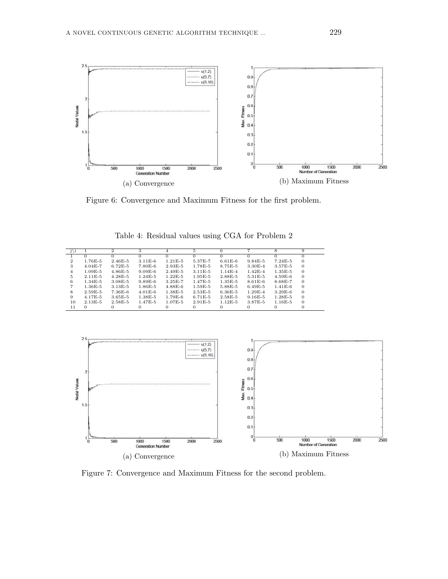

Figure 6: Convergence and Maximum Fitness for the first problem.

|    |             |             |             |             | 5.        | 6           |             |             |              |
|----|-------------|-------------|-------------|-------------|-----------|-------------|-------------|-------------|--------------|
|    |             |             |             |             |           | $^{\circ}$  |             |             |              |
| 2  | $1.76E-5$   | $2.46E - 5$ | $3.11E-6$   | $1.21E-5$   | 5.37E-7   | $6.61E - 6$ | $9.84E - 5$ | $7.24E-5$   | $\Omega$     |
| 3  | $4.04E - 7$ | $6.72E - 5$ | 7.80E-6     | $2.93E-5$   | $1.78E-5$ | 8.75E-5     | $3.30E - 4$ | $3.57E - 5$ | $\Omega$     |
| 4  | $1.09E-5$   | $4.86E - 5$ | $9.09E-6$   | $2.49E-5$   | $3.11E-5$ | $1.14E-4$   | $1.42E - 4$ | $1.35E-5$   | $\Omega$     |
| .5 | $2.11E-5$   | $4.28E - 5$ | $1.24E-5$   | $1.22E-5$   | $1.95E-5$ | 2.88E-5     | $5.31E - 5$ | $4.59E-6$   | $\Omega$     |
| 6  | $1.34E-5$   | $3.08E - 5$ | $9.89E-6$   | $3.25E - 7$ | $1.47E-5$ | $1.35E-5$   | $8.61E - 6$ | 8.68E-7     | $\Omega$     |
|    | $1.36E-5$   | $3.13E-5$   | $1.86E - 5$ | $4.88E-6$   | $1.59E-5$ | 5.88E-5     | $6.49E - 5$ | $1.41E-6$   | $\Omega$     |
| 8  | $2.59E-5$   | $7.36E-6$   | $4.01E-6$   | $1.38E-5$   | $2.53E-5$ | $6.36E - 5$ | $1.29E - 4$ | $3.29E-6$   | $\mathbf{0}$ |
| 9  | $4.17E-5$   | $3.65E - 5$ | $1.38E-5$   | $1.79E-6$   | $6.71E-5$ | $2.58E - 5$ | $9.16E - 5$ | $1.28E-5$   | $\Omega$     |
| 10 | $2.13E-5$   | $2.58E-5$   | $1.47E-5$   | $1.07E - 5$ | $2.91E-5$ | $1.12E-5$   | 3.87E-5     | $1.16E-5$   | $\Omega$     |
| 11 | 0           |             |             |             |           | 0           |             |             |              |

Table 4: Residual values using CGA for Problem 2



Figure 7: Convergence and Maximum Fitness for the second problem.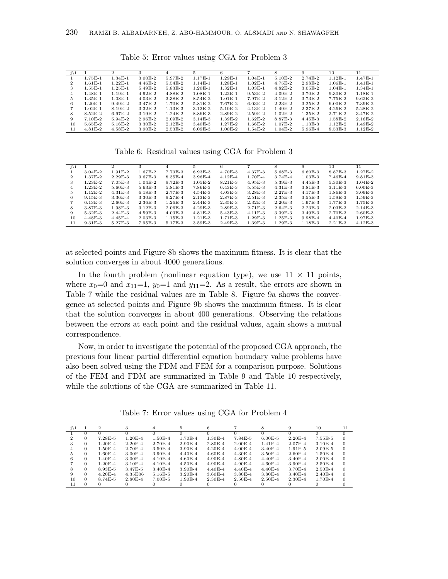| j∖i          |                      |             |             |             |             |           |           |             | 9           | 10                  |             |
|--------------|----------------------|-------------|-------------|-------------|-------------|-----------|-----------|-------------|-------------|---------------------|-------------|
|              | 1.75E-1              | $1.34E-1$   | $3.00E-2$   | 5.97E-2     | $1.17E-1$   | $1.29E-1$ | $1.04E-1$ | $5.10E-2$   | $2.74E-2$   | $1.12E-1$           | 1.47E-1     |
| $\mathbf{2}$ | $1.61E-1$            | $1.22E-1$   | $4.46E - 2$ | $5.54E - 2$ | $1.14E-1$   | $1.28E-1$ | $1.02E-1$ | $4.75E - 2$ | 2.98E-2     | $1.06E-1$           | $1.41E-1$   |
| 3            | $1.55E-1$            | $1.25E-1$   | $5.49E-2$   | $5.83E - 2$ | $1.20E - 1$ | $1.32E-1$ | $1.03E-1$ | $4.82E - 2$ | $3.05E - 2$ | $1.04E-1$           | $1.34E-1$   |
| 4            | $1.48E-1$            | $1.19E-1$   | $4.92E-2$   | 4.88E-2     | $1.08E - 1$ | $1.22E-1$ | $9.53E-2$ | $4.09E-2$   | $3.70E - 2$ | $9.30E-2$           | 1.18E-1     |
| 5            | $1.35E-1$            | $1.08E-1$   | $4.03E - 2$ | $3.38E - 2$ | $8.54E - 2$ | $1.01E-1$ | 7.97E-2   | $3.12E - 2$ | $3.73E - 2$ | 7.75E-2             | $9.62E - 2$ |
| 6            | $1.20E-1$            | $9.49E - 2$ | 3.47E-2     | $1.70E - 2$ | $5.81E-2$   | 7.67E-2   | $6.03E-2$ | $2.23E-2$   | $3.25E - 2$ | $6.00E-2$           | 7.39E-2     |
|              | $1.02E-1$            | $8.19E-2$   | $3.32E-2$   | $1.13E-3$   | $3.13E-2$   | $5.10E-2$ | $4.13E-2$ | $1.49E-2$   | $2.37E - 2$ | $4.26E - 2$         | $5.28E-2$   |
| 8            | $8.52E-2$            | $6.97E-2$   | $3.19E-2$   | $1.24E-2$   | $8.86E - 3$ | $2.89E-2$ | $2.59E-2$ | $1.02E-2$   | $1.35E - 2$ | 2.71 <sub>E-2</sub> | 3.47E-2     |
| 9            | 7.10 <sub>E</sub> -2 | $5.94E-2$   | $2.96E-2$   | $2.09E-2$   | $3.14E-3$   | $1.39E-2$ | $1.62E-2$ | 8.87E-3     | $4.45E - 3$ | 1.58E-2             | $2.16E - 2$ |
| 10           | $5.65E-2$            | $5.16E-2$   | $3.30E-2$   | $2.12E-2$   | $3.40E - 3$ | $1.27E-2$ | $1.66E-2$ | $1.07E-2$   | $1.13E-3$   | $1.12E-2$           | $1.49E-2$   |
| 11           | $4.81E-2$            | $4.58E - 2$ | $3.90E-2$   | $2.53E-2$   | $6.09E-3$   | $1.00E-2$ | $1.54E-2$ | $1.04E-2$   | 5.96E-4     | $8.53E - 3$         | $1.12E-2$   |

Table 5: Error values using CGA for Problem 3

Table 6: Residual values using CGA for Problem 3

| j∖i |             | $\Omega$    |             |             | 5           | 6           |             | 8           | 9           | 10          | 11          |
|-----|-------------|-------------|-------------|-------------|-------------|-------------|-------------|-------------|-------------|-------------|-------------|
|     | $3.04E-2$   | $1.91E-2$   | $1.67E-2$   | 7.73E-3     | $6.93E-3$   | 4.70E-3     | 4.37E-3     | $5.68E-3$   | $6.60E-3$   | 8.87E-3     | $1.27E-2$   |
| 2   | 1.37E-2     | $2.29E-3$   | 3.67E-3     | $8.35E - 4$ | $3.96E - 4$ | $4.12E - 4$ | 1.70E-4     | $3.74E - 4$ | $1.03E-3$   | $7.46E - 4$ | $9.81E - 3$ |
| 3   | $1.23E-2$   | $7.05E-3$   | $1.04E-2$   | $9.72E - 3$ | $1.05E-2$   | $8.21E-3$   | $4.95E-3$   | $5.39E-3$   | $4.45E - 3$ | $5.30E - 3$ | $1.04E-2$   |
| 4   | $1.23E-2$   | $5.60E-3$   | $5.63E-3$   | $5.81E - 3$ | $7.86E - 3$ | $6.43E-3$   | $5.55E-3$   | $4.31E - 3$ | $3.81E - 3$ | $3.11E-3$   | $6.00E-3$   |
| 5.  | $1.12E-2$   | $4.31E-3$   | $6.18E-3$   | 2.77E-3     | $4.54E - 3$ | $4.03E - 3$ | $3.28E - 3$ | $2.27E-3$   | $4.17E-3$   | 1.86E-3     | $3.09E - 3$ |
| 6.  | $9.15E-3$   | $3.36E - 3$ | $3.30E - 3$ | $9.27E - 4$ | $2.13E-3$   | $2.87E - 3$ | $2.51E-3$   | $2.35E-3$   | $3.55E-3$   | $1.59E-3$   | $1.59E-3$   |
|     | $6.13E-3$   | $2.60E-3$   | $2.36E-3$   | $1.26E - 3$ | $2.44E-3$   | $2.35E-3$   | $2.32E - 3$ | $2.20E-3$   | $1.97E-3$   | 1.77E-3     | $1.75E - 3$ |
| 8   | 3.87E-3     | $1.98E-3$   | $3.12E-3$   | $2.06E - 3$ | $4.29E-3$   | $2.89E-3$   | $2.71E-3$   | $2.64E - 3$ | $2.23E-3$   | $2.03E-3$   | $2.14E-3$   |
| 9   | $5.32E - 3$ | $2.44E-3$   | $4.59E-3$   | $4.03E - 3$ | $4.81E - 3$ | $5.43E - 3$ | $4.11E-3$   | $3.39E - 3$ | $3.49E-3$   | 2.70E-3     | $2.60E - 3$ |
| 10  | $4.48E - 3$ | $4.45E - 4$ | $2.03E-3$   | $1.15E-3$   | $1.21E-3$   | $1.71E-3$   | $1.29E-3$   | $1.25E-3$   | $9.98E - 4$ | $4.40E - 4$ | 1.97E-3     |
| 11  | $9.31E-3$   | $5.27E-3$   | 7.95E-3     | 5.17E-3     | $3.59E-3$   | $2.49E-3$   | $1.39E-3$   | $1.29E-3$   | $1.18E-3$   | $2.21E-3$   | $4.12E - 3$ |

at selected points and Figure 8b shows the maximum fitness. It is clear that the solution converges in about 4000 generations.

In the fourth problem (nonlinear equation type), we use  $11 \times 11$  points, where  $x_0=0$  and  $x_{11}=1$ ,  $y_0=1$  and  $y_{11}=2$ . As a result, the errors are shown in Table 7 while the residual values are in Table 8. Figure 9a shows the convergence at selected points and Figure 9b shows the maximum fitness. It is clear that the solution converges in about 400 generations. Observing the relations between the errors at each point and the residual values, again shows a mutual correspondence.

Now, in order to investigate the potential of the proposed CGA approach, the previous four linear partial differential equation boundary value problems have also been solved using the FDM and FEM for a comparison purpose. Solutions of the FEM and FDM are summarized in Table 9 and Table 10 respectively, while the solutions of the CGA are summarized in Table 11.

Table 7: Error values using CGA for Problem 4

|    |          | $\mathbf{2}$ |                      |             | 5.          |             |             |             | 9           | 10          | 11       |
|----|----------|--------------|----------------------|-------------|-------------|-------------|-------------|-------------|-------------|-------------|----------|
|    |          |              |                      |             |             |             |             |             |             |             |          |
|    | $\Omega$ | $7.28E-5$    | $1.20E - 4$          | $1.50E-4$   | 1.70E-4     | 1.30E-4     | $7.84E - 5$ | $6.00E - 5$ | $2.20E - 4$ | $7.55E-5$   | $\Omega$ |
|    | 0        | $1.20E - 4$  | $2.20E - 4$          | $2.70E - 4$ | $2.90E - 4$ | $2.80E - 4$ | $2.00E - 4$ | $1.41E-4$   | $2.07E - 4$ | $3.10E - 4$ | $\Omega$ |
|    | 0        | $1.50E-4$    | $2.70E - 4$          | $3.50E - 4$ | $3.90E - 4$ | $4.20E - 4$ | $4.00E - 4$ | $3.40E - 4$ | $1.91E-5$   | $2.09E - 5$ | $\Omega$ |
| 5. |          | $1.60E - 4$  | $3.00E - 4$          | $3.90E - 4$ | $4.40E - 4$ | $4.60E - 4$ | $4.30E - 4$ | $3.50E - 4$ | $2.60E - 4$ | $1.50E - 4$ | $\Omega$ |
| 6  | 0        | $1.40E - 4$  | $3.00E - 4$          | $4.10E - 4$ | $4.60E - 4$ | $4.90E - 4$ | $4.80E - 4$ | $4.40E - 4$ | $3.40E - 4$ | $2.00E-4$   | $\theta$ |
|    |          | $1.20E - 4$  | $3.10E - 4$          | $4.10E - 4$ | $4.50E - 4$ | $4.90E - 4$ | $4.90E - 4$ | $4.60E - 4$ | $3.90E - 4$ | $2.50E - 4$ | $\theta$ |
| 8  | $\Omega$ | $8.93E-5$    | $3.47E - 5$          | $3.40E - 4$ | 3.90E-4     | $4.40E - 4$ | $4.40E - 4$ | $4.40E - 4$ | $3.70E - 4$ | $2.50E-4$   | $\theta$ |
| 9  |          | $4.20E - 4$  | 4.35E06              | $5.16E - 5$ | $3.20E - 4$ | $3.60E - 4$ | $3.80E - 4$ | $3.80E - 4$ | $3.40E - 4$ | $2.40E - 4$ | $\Omega$ |
| 10 |          | $8.74E - 5$  | 2.80 <sub>E</sub> -4 | $7.00E - 5$ | $1.90E - 4$ | $2.30E - 4$ | $2.50E - 4$ | $2.50E - 4$ | $2.30E - 4$ | $1.70E - 4$ | $\Omega$ |
| 11 |          | 0            |                      |             |             |             |             |             |             |             |          |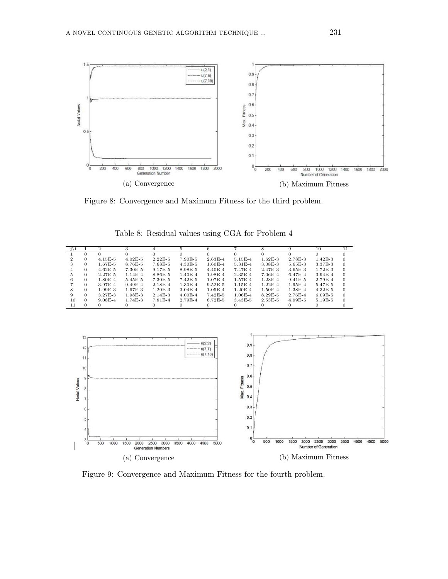

Figure 8: Convergence and Maximum Fitness for the third problem.

| j\i |          | 2           |             |             |             |             |                     |             |             | 10          |          |
|-----|----------|-------------|-------------|-------------|-------------|-------------|---------------------|-------------|-------------|-------------|----------|
|     |          | $\Omega$    |             |             |             |             |                     |             |             |             |          |
|     | 0        | $4.15E-5$   | $4.02E - 5$ | $2.22E - 5$ | 7.90E-5     | $2.63E-4$   | $5.15E-4$           | $1.62E - 3$ | 2.78E-3     | $1.42E - 3$ | $\Omega$ |
| 3   | 0        | $1.67E - 5$ | $8.76E - 5$ | 7.68E-5     | $4.30E - 5$ | $1.60E - 4$ | 5.31E-4             | $3.08E - 3$ | $5.65E-3$   | 3.37E-3     | $\Omega$ |
|     | 0        | $4.62E - 5$ | $7.30E-5$   | 9.17E-5     | 8.98E-5     | $4.40E - 4$ | 7.47 <sub>E-4</sub> | 2.47E-3     | $3.65E - 3$ | $1.72E-3$   | $\Omega$ |
| 5.  | 0        | $2.27E-5$   | $1.14E-4$   | $8.86E - 5$ | $1.40E - 4$ | $1.98E - 4$ | $2.35E - 4$         | $7.06E - 4$ | $6.47E - 4$ | $3.94E - 4$ | $\Omega$ |
| 6   | 0        | $1.80E - 4$ | $5.45E-5$   | 7.30E-5     | $7.42E-5$   | $1.07E - 4$ | 1.57E-4             | $1.28E - 4$ | $9.41E - 5$ | 2.79E-4     | $\Omega$ |
|     |          | $3.97E - 4$ | $9.49E - 4$ | $2.18E - 4$ | $1.30E - 4$ | $9.52E - 5$ | $1.15E-4$           | $1.22E-4$   | $1.95E-4$   | $5.47E-5$   | $\Omega$ |
|     | 0        | $1.99E-3$   | $1.67E-3$   | $1.20E - 3$ | $3.04E - 4$ | $1.05E - 4$ | $1.20E - 4$         | $1.50E - 4$ | $1.38E - 4$ | $4.32E - 5$ | $\Omega$ |
| 9   | 0        | 3.27E-3     | 1.98E-3     | $2.14E-3$   | $4.00E - 4$ | $7.42E - 5$ | $1.06E - 4$         | $8.29E - 5$ | $2.76E - 4$ | $6.09E - 5$ | $\Omega$ |
| 10  | $\Omega$ | $9.08E - 4$ | $1.74E-3$   | $7.81E - 4$ | $2.79E - 4$ | $6.72E - 5$ | $3.43E - 5$         | $2.53E - 5$ | $4.99E-5$   | $5.19E-5$   | $\Omega$ |
| 11  |          |             |             |             |             |             |                     |             |             |             |          |

Table 8: Residual values using CGA for Problem 4



Figure 9: Convergence and Maximum Fitness for the fourth problem.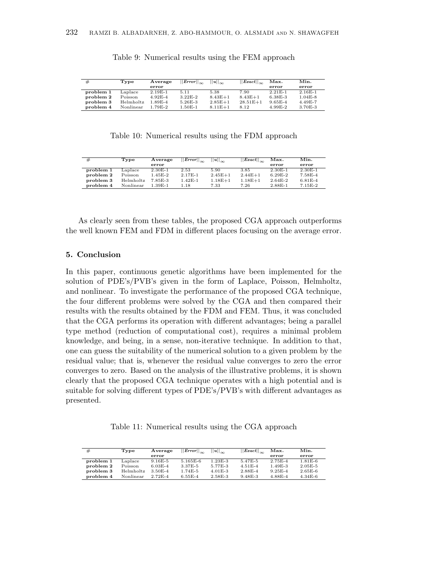| #         | Tvpe      | Average     | $  Error  _{\infty}$ | $  u  _{\infty}$ | $  \textit{Exact}  _{\infty}$ | Max.        | Min.        |
|-----------|-----------|-------------|----------------------|------------------|-------------------------------|-------------|-------------|
|           |           | error       |                      |                  |                               | error       | error       |
| problem 1 | Laplace   | $2.19E-1$   | 5.11                 | 5.38             | 7.90                          | $2.21E-1$   | $2.16E-1$   |
| problem 2 | Poisson   | $4.92E - 4$ | $3.22E-2$            | $8.43E+1$        | $8.43E + 1$                   | $6.38E - 3$ | $1.04E - 8$ |
| problem 3 | Helmholtz | 1.89E-4     | $5.26E - 3$          | $2.85E+1$        | $28.51E+1$                    | $9.65E - 4$ | $4.49E - 7$ |
| problem 4 | Nonlinear | 1.79E-2     | $1.50E-1$            | $8.11E + 1$      | 8.12                          | $4.99E-2$   | 3.70E-3     |

### Table 9: Numerical results using the FEM approach

Table 10: Numerical results using the FDM approach

| #         | Type      | Average     | $  Error  _{\infty}$ | $ u _{\infty}$ | $  \textit{Exact}  _{\infty}$ | Max.      | Min.        |
|-----------|-----------|-------------|----------------------|----------------|-------------------------------|-----------|-------------|
|           |           | error       |                      |                |                               | error     | error       |
| problem 1 | Laplace   | $2.30E-1$   | 2.53                 | 5.90           | 3.85                          | $2.30E-1$ | $2.30E-1$   |
| problem 2 | Poisson   | $1.45E - 2$ | 2.17E-1              | $2.45E + 1$    | $2.44E + 1$                   | $6.29E-2$ | 7.58E-4     |
| problem 3 | Helmholtz | 7.85E-3     | $1.42E-1$            | $1.18E + 1$    | $1.18E + 1$                   | $2.64E-2$ | $6.81E - 4$ |
| problem 4 | Nonlinear | $1.39E-1$   | 1.18                 | 7.33           | 7.26                          | $2.88E-1$ | $7.15E-2$   |

As clearly seen from these tables, the proposed CGA approach outperforms the well known FEM and FDM in different places focusing on the average error.

#### 5. Conclusion

In this paper, continuous genetic algorithms have been implemented for the solution of PDE's/PVB's given in the form of Laplace, Poisson, Helmholtz, and nonlinear. To investigate the performance of the proposed CGA technique, the four different problems were solved by the CGA and then compared their results with the results obtained by the FDM and FEM. Thus, it was concluded that the CGA performs its operation with different advantages; being a parallel type method (reduction of computational cost), requires a minimal problem knowledge, and being, in a sense, non-iterative technique. In addition to that, one can guess the suitability of the numerical solution to a given problem by the residual value; that is, whenever the residual value converges to zero the error converges to zero. Based on the analysis of the illustrative problems, it is shown clearly that the proposed CGA technique operates with a high potential and is suitable for solving different types of PDE's/PVB's with different advantages as presented.

Table 11: Numerical results using the CGA approach

| #         | Type      | Average     | $  Error  _{\infty}$ | $  u  _{\infty}$ | $  \textit{Exact}  _{\infty}$ | Max.        | Min.        |
|-----------|-----------|-------------|----------------------|------------------|-------------------------------|-------------|-------------|
|           |           | error       |                      |                  |                               | error       | error       |
| problem 1 | Laplace   | $9.16E-5$   | $5.165E-6$           | $1.23E-3$        | $5.47E - 5$                   | $2.75E - 4$ | $1.81E-6$   |
| problem 2 | Poisson   | $6.03E - 4$ | $3.37E - 5$          | 5.77E-3          | $4.51E-4$                     | $1.49E-3$   | $2.05E - 5$ |
| problem 3 | Helmholtz | $3.50E - 4$ | $1.74E-5$            | $4.01E-3$        | $2.88E - 4$                   | $9.25E - 4$ | $2.65E-6$   |
| problem 4 | Nonlinear | $2.72E-4$   | $6.55E-4$            | $2.58E - 3$      | $9.48E - 3$                   | $4.88E - 4$ | $4.34E-6$   |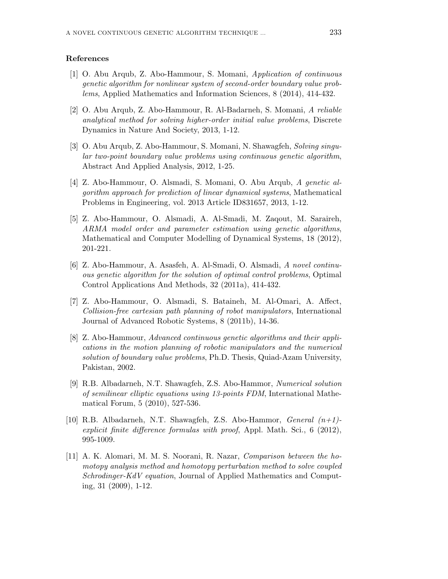#### References

- [1] O. Abu Arqub, Z. Abo-Hammour, S. Momani, Application of continuous genetic algorithm for nonlinear system of second-order boundary value problems, Applied Mathematics and Information Sciences, 8 (2014), 414-432.
- [2] O. Abu Arqub, Z. Abo-Hammour, R. Al-Badarneh, S. Momani, A reliable analytical method for solving higher-order initial value problems, Discrete Dynamics in Nature And Society, 2013, 1-12.
- [3] O. Abu Arqub, Z. Abo-Hammour, S. Momani, N. Shawagfeh, Solving singular two-point boundary value problems using continuous genetic algorithm, Abstract And Applied Analysis, 2012, 1-25.
- [4] Z. Abo-Hammour, O. Alsmadi, S. Momani, O. Abu Arqub, A genetic algorithm approach for prediction of linear dynamical systems, Mathematical Problems in Engineering, vol. 2013 Article ID831657, 2013, 1-12.
- [5] Z. Abo-Hammour, O. Alsmadi, A. Al-Smadi, M. Zaqout, M. Saraireh, ARMA model order and parameter estimation using genetic algorithms, Mathematical and Computer Modelling of Dynamical Systems, 18 (2012), 201-221.
- [6] Z. Abo-Hammour, A. Asasfeh, A. Al-Smadi, O. Alsmadi, A novel continuous genetic algorithm for the solution of optimal control problems, Optimal Control Applications And Methods, 32 (2011a), 414-432.
- [7] Z. Abo-Hammour, O. Alsmadi, S. Bataineh, M. Al-Omari, A. Affect, Collision-free cartesian path planning of robot manipulators, International Journal of Advanced Robotic Systems, 8 (2011b), 14-36.
- [8] Z. Abo-Hammour, Advanced continuous genetic algorithms and their applications in the motion planning of robotic manipulators and the numerical solution of boundary value problems, Ph.D. Thesis, Quiad-Azam University, Pakistan, 2002.
- [9] R.B. Albadarneh, N.T. Shawagfeh, Z.S. Abo-Hammor, Numerical solution of semilinear elliptic equations using 13-points FDM, International Mathematical Forum, 5 (2010), 527-536.
- [10] R.B. Albadarneh, N.T. Shawagfeh, Z.S. Abo-Hammor, *General*  $(n+1)$ explicit finite difference formulas with proof, Appl. Math. Sci., 6 (2012), 995-1009.
- [11] A. K. Alomari, M. M. S. Noorani, R. Nazar, Comparison between the homotopy analysis method and homotopy perturbation method to solve coupled Schrodinger-KdV equation, Journal of Applied Mathematics and Computing, 31 (2009), 1-12.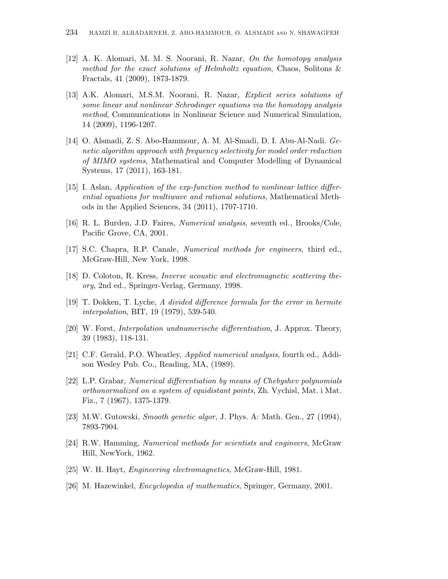- [12] A. K. Alomari, M. M. S. Noorani, R. Nazar, On the homotopy analysis method for the exact solutions of Helmholtz equation, Chaos, Solitons & Fractals, 41 (2009), 1873-1879.
- [13] A.K. Alomari, M.S.M. Noorani, R. Nazar, Explicit series solutions of some linear and nonlinear Schrodinger equations via the homotopy analysis method, Communications in Nonlinear Science and Numerical Simulation, 14 (2009), 1196-1207.
- [14] O. Alsmadi, Z. S. Abo-Hammour, A. M. Al-Smadi, D. I. Abu-Al-Nadi. Genetic algorithm approach with frequency selectivity for model order reduction of MIMO systems, Mathematical and Computer Modelling of Dynamical Systems, 17 (2011), 163-181.
- [15] I. Aslan, Application of the exp-function method to nonlinear lattice differential equations for multiwave and rational solutions, Mathematical Methods in the Applied Sciences, 34 (2011), 1707-1710.
- [16] R. L. Burden, J.D. Faires, Numerical analysis, seventh ed., Brooks/Cole, Pacific Grove, CA, 2001.
- [17] S.C. Chapra, R.P. Canale, Numerical methods for engineers, third ed., McGraw-Hill, New York, 1998.
- [18] D. Coloton, R. Kress, Inverse acoustic and electromagnetic scattering theory, 2nd ed., Springer-Verlag, Germany, 1998.
- [19] T. Dokken, T. Lyche, A divided difference formula for the error in hermite interpolation, BIT, 19 (1979), 539-540.
- [20] W. Forst, Interpolation undnumerische differentiation, J. Approx. Theory, 39 (1983), 118-131.
- [21] C.F. Gerald, P.O. Wheatley, Applied numerical analysis, fourth ed., Addison Wesley Pub. Co., Reading, MA, (1989).
- [22] L.P. Grabar, Numerical differentiation by means of Chebyshev polynomials orthonormalized on a system of equidistant points, Zh. Vychisl, Mat. i Mat. Fiz., 7 (1967), 1375-1379.
- [23] M.W. Gutowski, Smooth genetic algor, J. Phys. A: Math. Gen., 27 (1994), 7893-7904.
- [24] R.W. Hamming, Numerical methods for scientists and engineers, McGraw Hill, NewYork, 1962.
- [25] W. H. Hayt, Engineering electromagnetics, McGraw-Hill, 1981.
- [26] M. Hazewinkel, Encyclopedia of mathematics, Springer, Germany, 2001.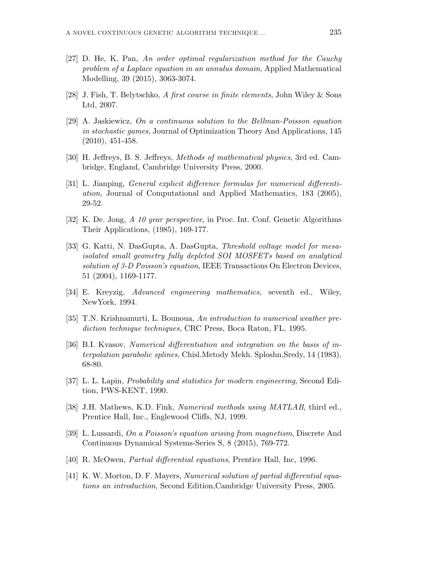- [27] D. He, K. Pan, An order optimal regularization method for the Cauchy problem of a Laplace equation in an annulus domain, Applied Mathematical Modelling, 39 (2015), 3063-3074.
- [28] J. Fish, T. Belytschko, A first course in finite elements, John Wiley & Sons Ltd, 2007.
- [29] A. Jaskiewicz, On a continuous solution to the Bellman-Poisson equation in stochastic games, Journal of Optimization Theory And Applications, 145 (2010), 451-458.
- [30] H. Jeffreys, B. S. Jeffreys, Methods of mathematical physics, 3rd ed. Cambridge, England, Cambridge University Press, 2000.
- [31] L. Jianping, General explicit difference formulas for numerical differentiation, Journal of Computational and Applied Mathematics, 183 (2005), 29-52.
- [32] K. De. Jong, A 10 year perspective, in Proc. Int. Conf. Genetic Algorithms Their Applications, (1985), 169-177.
- [33] G. Katti, N. DasGupta, A. DasGupta, Threshold voltage model for mesaisolated small geometry fully depleted SOI MOSFETs based on analytical solution of 3-D Poisson's equation, IEEE Transactions On Electron Devices, 51 (2004), 1169-1177.
- [34] E. Kreyzig, Advanced engineering mathematics, seventh ed., Wiley, NewYork, 1994.
- [35] T.N. Krishnamurti, L. Bounoua, An introduction to numerical weather prediction technique techniques, CRC Press, Boca Raton, FL, 1995.
- [36] B.I. Kvasov, Numerical differentiation and integration on the basis of interpolation parabolic splines, Chisl.Metody Mekh. Sploshn.Sredy, 14 (1983), 68-80.
- [37] L. L. Lapin, Probability and statistics for modern engineering, Second Edition, PWS-KENT, 1990.
- [38] J.H. Mathews, K.D. Fink, Numerical methods using MATLAB, third ed., Prentice Hall, Inc., Englewood Cliffs, NJ, 1999.
- [39] L. Lussardi, On a Poisson's equation arising from magnetism, Discrete And Continuous Dynamical Systems-Series S, 8 (2015), 769-772.
- [40] R. McOwen, Partial differential equations, Prentice Hall, Inc, 1996.
- [41] K. W. Morton, D. F. Mayers, Numerical solution of partial differential equations an introduction, Second Edition,Cambridge University Press, 2005.